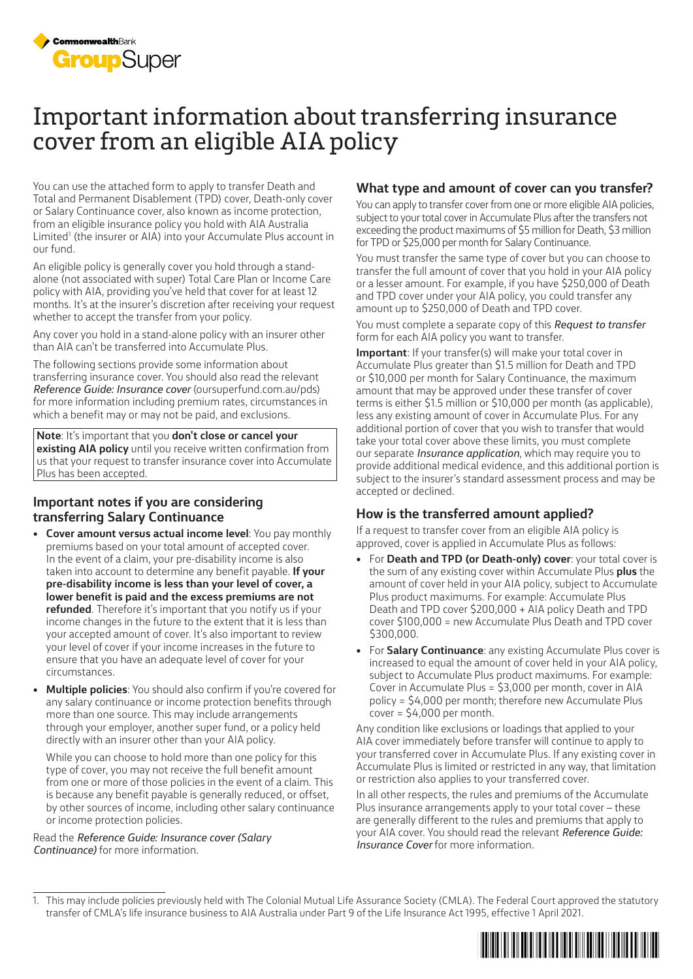

# Important information about transferring insurance cover from an eligible AIA policy

You can use the attached form to apply to transfer Death and Total and Permanent Disablement (TPD) cover, Death-only cover or Salary Continuance cover, also known as income protection, from an eligible insurance policy you hold with AIA Australia Limited<sup>1</sup> (the insurer or AIA) into your Accumulate Plus account in our fund.

An eligible policy is generally cover you hold through a standalone (not associated with super) Total Care Plan or Income Care policy with AIA, providing you've held that cover for at least 12 months. It's at the insurer's discretion after receiving your request whether to accept the transfer from your policy.

Any cover you hold in a stand-alone policy with an insurer other than AIA can't be transferred into Accumulate Plus.

The following sections provide some information about transferring insurance cover. You should also read the relevant *Reference Guide: Insurance cover* (oursuperfund.com.au/pds) for more information including premium rates, circumstances in which a benefit may or may not be paid, and exclusions.

**Note**: It's important that you **don't close or cancel your existing AIA policy** until you receive written confirmation from us that your request to transfer insurance cover into Accumulate Plus has been accepted.

# **Important notes if you are considering transferring Salary Continuance**

- **Cover amount versus actual income level**: You pay monthly premiums based on your total amount of accepted cover. In the event of a claim, your pre-disability income is also taken into account to determine any benefit payable. **If your pre-disability income is less than your level of cover, a lower benefit is paid and the excess premiums are not refunded**. Therefore it's important that you notify us if your income changes in the future to the extent that it is less than your accepted amount of cover. It's also important to review your level of cover if your income increases in the future to ensure that you have an adequate level of cover for your circumstances.
- **Multiple policies**: You should also confirm if you're covered for any salary continuance or income protection benefits through more than one source. This may include arrangements through your employer, another super fund, or a policy held directly with an insurer other than your AIA policy.

While you can choose to hold more than one policy for this type of cover, you may not receive the full benefit amount from one or more of those policies in the event of a claim. This is because any benefit payable is generally reduced, or offset, by other sources of income, including other salary continuance or income protection policies.

Read the *Reference Guide: Insurance cover (Salary Continuance)* for more information.

# **What type and amount of cover can you transfer?**

You can apply to transfer cover from one or more eligible AIA policies, subject to your total cover in Accumulate Plus after the transfers not exceeding the product maximums of \$5 million for Death, \$3 million for TPD or \$25,000 per month for Salary Continuance.

You must transfer the same type of cover but you can choose to transfer the full amount of cover that you hold in your AIA policy or a lesser amount. For example, if you have \$250,000 of Death and TPD cover under your AIA policy, you could transfer any amount up to \$250,000 of Death and TPD cover.

You must complete a separate copy of this *Request to transfer* form for each AIA policy you want to transfer.

**Important**: If your transfer(s) will make your total cover in Accumulate Plus greater than \$1.5 million for Death and TPD or \$10,000 per month for Salary Continuance, the maximum amount that may be approved under these transfer of cover terms is either \$1.5 million or \$10,000 per month (as applicable), less any existing amount of cover in Accumulate Plus. For any additional portion of cover that you wish to transfer that would take your total cover above these limits, you must complete our separate *Insurance application*, which may require you to provide additional medical evidence, and this additional portion is subject to the insurer's standard assessment process and may be accepted or declined.

# **How is the transferred amount applied?**

If a request to transfer cover from an eligible AIA policy is approved, cover is applied in Accumulate Plus as follows:

- For **Death and TPD (or Death-only) cover**: your total cover is the sum of any existing cover within Accumulate Plus **plus** the amount of cover held in your AIA policy, subject to Accumulate Plus product maximums. For example: Accumulate Plus Death and TPD cover \$200,000 + AIA policy Death and TPD cover \$100,000 = new Accumulate Plus Death and TPD cover \$300,000.
- For **Salary Continuance**: any existing Accumulate Plus cover is increased to equal the amount of cover held in your AIA policy, subject to Accumulate Plus product maximums. For example: Cover in Accumulate Plus = \$3,000 per month, cover in AIA policy = \$4,000 per month; therefore new Accumulate Plus cover = \$4,000 per month.

Any condition like exclusions or loadings that applied to your AIA cover immediately before transfer will continue to apply to your transferred cover in Accumulate Plus. If any existing cover in Accumulate Plus is limited or restricted in any way, that limitation or restriction also applies to your transferred cover.

In all other respects, the rules and premiums of the Accumulate Plus insurance arrangements apply to your total cover – these are generally different to the rules and premiums that apply to your AIA cover. You should read the relevant *Reference Guide: Insurance Cover* for more information.

<sup>1.</sup> This may include policies previously held with The Colonial Mutual Life Assurance Society (CMLA). The Federal Court approved the statutory transfer of CMLA's life insurance business to AIA Australia under Part 9 of the Life Insurance Act 1995, effective 1 April 2021.

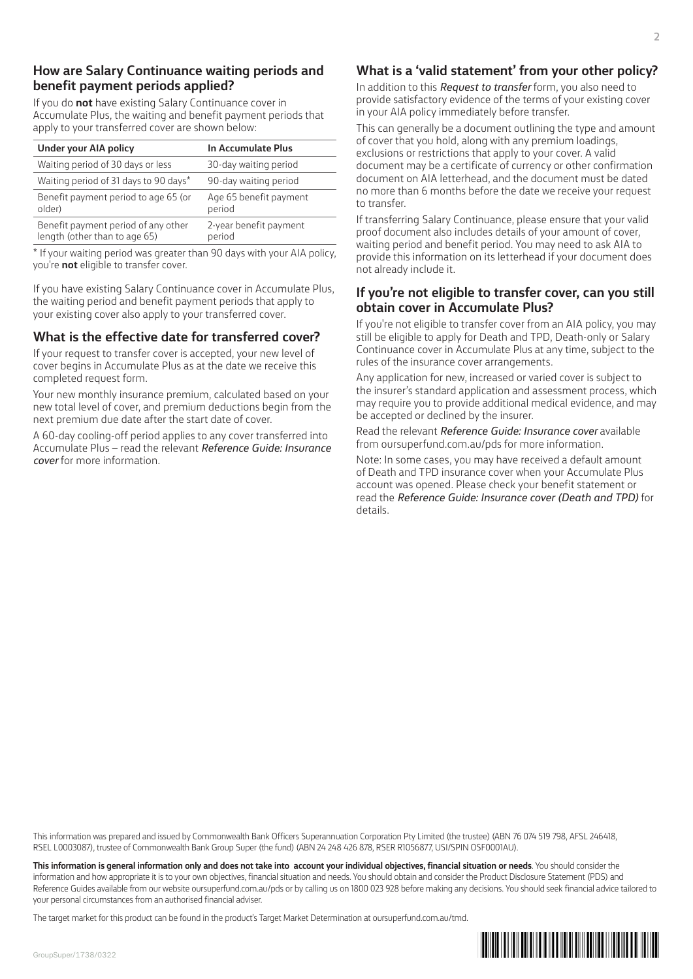# **How are Salary Continuance waiting periods and benefit payment periods applied?**

If you do **not** have existing Salary Continuance cover in Accumulate Plus, the waiting and benefit payment periods that apply to your transferred cover are shown below:

| Under your AIA policy                                                | In Accumulate Plus               |
|----------------------------------------------------------------------|----------------------------------|
| Waiting period of 30 days or less                                    | 30-day waiting period            |
| Waiting period of 31 days to 90 days*                                | 90-day waiting period            |
| Benefit payment period to age 65 (or<br>older)                       | Age 65 benefit payment<br>period |
| Benefit payment period of any other<br>length (other than to age 65) | 2-year benefit payment<br>period |

\* If your waiting period was greater than 90 days with your AIA policy, you're **not** eligible to transfer cover.

If you have existing Salary Continuance cover in Accumulate Plus, the waiting period and benefit payment periods that apply to your existing cover also apply to your transferred cover.

# **What is the effective date for transferred cover?**

If your request to transfer cover is accepted, your new level of cover begins in Accumulate Plus as at the date we receive this completed request form.

Your new monthly insurance premium, calculated based on your new total level of cover, and premium deductions begin from the next premium due date after the start date of cover.

A 60-day cooling-off period applies to any cover transferred into Accumulate Plus – read the relevant *Reference Guide: Insurance cover* for more information.

# **What is a 'valid statement' from your other policy?**

In addition to this *Request to transfer* form, you also need to provide satisfactory evidence of the terms of your existing cover in your AIA policy immediately before transfer.

This can generally be a document outlining the type and amount of cover that you hold, along with any premium loadings, exclusions or restrictions that apply to your cover. A valid document may be a certificate of currency or other confirmation document on AIA letterhead, and the document must be dated no more than 6 months before the date we receive your request to transfer.

If transferring Salary Continuance, please ensure that your valid proof document also includes details of your amount of cover, waiting period and benefit period. You may need to ask AIA to provide this information on its letterhead if your document does not already include it.

# **If you're not eligible to transfer cover, can you still obtain cover in Accumulate Plus?**

If you're not eligible to transfer cover from an AIA policy, you may still be eligible to apply for Death and TPD, Death-only or Salary Continuance cover in Accumulate Plus at any time, subject to the rules of the insurance cover arrangements.

Any application for new, increased or varied cover is subject to the insurer's standard application and assessment process, which may require you to provide additional medical evidence, and may be accepted or declined by the insurer.

Read the relevant *Reference Guide: Insurance cover* available from oursuperfund.com.au/pds for more information.

Note: In some cases, you may have received a default amount of Death and TPD insurance cover when your Accumulate Plus account was opened. Please check your benefit statement or read the *Reference Guide: Insurance cover (Death and TPD)* for details.

This information was prepared and issued by Commonwealth Bank Officers Superannuation Corporation Pty Limited (the trustee) (ABN 76 074 519 798, AFSL 246418, RSEL L0003087), trustee of Commonwealth Bank Group Super (the fund) (ABN 24 248 426 878, RSER R1056877, USI/SPIN OSF0001AU).

**This information is general information only and does not take into account your individual objectives, financial situation or needs**. You should consider the information and how appropriate it is to your own objectives, financial situation and needs. You should obtain and consider the Product Disclosure Statement (PDS) and Reference Guides available from our website oursuperfund.com.au/pds or by calling us on 1800 023 928 before making any decisions. You should seek financial advice tailored to your personal circumstances from an authorised financial adviser.

The target market for this product can be found in the product's Target Market Determination at oursuperfund.com.au/tmd.

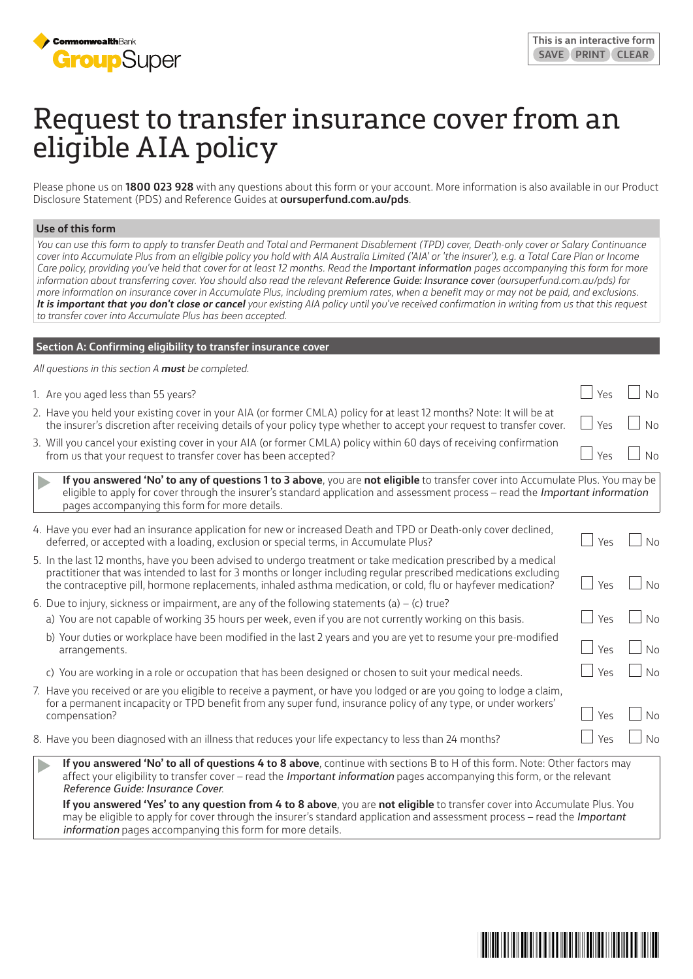

# Request to transfer insurance cover from an eligible AIA policy

Please phone us on **1800 023 928** with any questions about this form or your account. More information is also available in our Product Disclosure Statement (PDS) and Reference Guides at **oursuperfund.com.au/pds**.

#### **Use of this form**

*You can use this form to apply to transfer Death and Total and Permanent Disablement (TPD) cover, Death-only cover or Salary Continuance cover into Accumulate Plus from an eligible policy you hold with AIA Australia Limited ('AIA' or 'the insurer'), e.g. a Total Care Plan or Income Care policy, providing you've held that cover for at least 12 months. Read the Important information pages accompanying this form for more*  information about transferring cover. You should also read the relevant **Reference Guide: Insurance cover** (oursuperfund.com.au/pds) for *more information on insurance cover in Accumulate Plus, including premium rates, when a benefit may or may not be paid, and exclusions. It is important that you don't close or cancel your existing AIA policy until you've received confirmation in writing from us that this request to transfer cover into Accumulate Plus has been accepted.*

# **Section A: Confirming eligibility to transfer insurance cover**

*All questions in this section A must be completed.*

| 1. Are you aged less than 55 years?                                                                                                                                                                                                                                                                                                                                                                                                                        | Yes |                |
|------------------------------------------------------------------------------------------------------------------------------------------------------------------------------------------------------------------------------------------------------------------------------------------------------------------------------------------------------------------------------------------------------------------------------------------------------------|-----|----------------|
| 2. Have you held your existing cover in your AIA (or former CMLA) policy for at least 12 months? Note: It will be at<br>the insurer's discretion after receiving details of your policy type whether to accept your request to transfer cover.                                                                                                                                                                                                             | Yes | No             |
| 3. Will you cancel your existing cover in your AIA (or former CMLA) policy within 60 days of receiving confirmation<br>from us that your request to transfer cover has been accepted?                                                                                                                                                                                                                                                                      | Υρς | N <sub>0</sub> |
| If you answered 'No' to any of questions 1 to 3 above, you are not eligible to transfer cover into Accumulate Plus. You may be<br>eligible to apply for cover through the insurer's standard application and assessment process - read the <i>Important information</i><br>pages accompanying this form for more details.                                                                                                                                  |     |                |
| 4. Have you ever had an insurance application for new or increased Death and TPD or Death-only cover declined,<br>deferred, or accepted with a loading, exclusion or special terms, in Accumulate Plus?                                                                                                                                                                                                                                                    | Yes |                |
| 5. In the last 12 months, have you been advised to undergo treatment or take medication prescribed by a medical<br>practitioner that was intended to last for 3 months or longer including regular prescribed medications excluding<br>the contraceptive pill, hormone replacements, inhaled asthma medication, or cold, flu or hayfever medication?                                                                                                       | Yes | N <sub>0</sub> |
| 6. Due to injury, sickness or impairment, are any of the following statements (a) $-$ (c) true?<br>a) You are not capable of working 35 hours per week, even if you are not currently working on this basis.<br>$\mathbf{a} \cdot \mathbf{b}$ , and a set of the set of the set of the set of the set of the set of the set of the set of the set of the set of the set of the set of the set of the set of the set of the set of the set of the set of th | Yes | Nο             |

- b) Your duties or workplace have been modified in the last 2 years and you are yet to resume your pre-modified arrangements.  $\Box$  Yes  $\Box$  No
- c) You are working in a role or occupation that has been designed or chosen to suit your medical needs.  $\Box$  Yes  $\Box$  No
- 7. Have you received or are you eligible to receive a payment, or have you lodged or are you going to lodge a claim, for a permanent incapacity or TPD benefit from any super fund, insurance policy of any type, or under workers' compensation?  $\Box$  Yes  $\Box$  No
- 8. Have you been diagnosed with an illness that reduces your life expectancy to less than 24 months?
	- **If you answered 'No' to all of questions 4 to 8 above**, continue with sections B to H of this form. Note: Other factors may affect your eligibility to transfer cover – read the *Important information* pages accompanying this form, or the relevant *Reference Guide: Insurance Cover*.

**If you answered 'Yes' to any question from 4 to 8 above**, you are **not eligible** to transfer cover into Accumulate Plus. You may be eligible to apply for cover through the insurer's standard application and assessment process – read the *Important information* pages accompanying this form for more details.

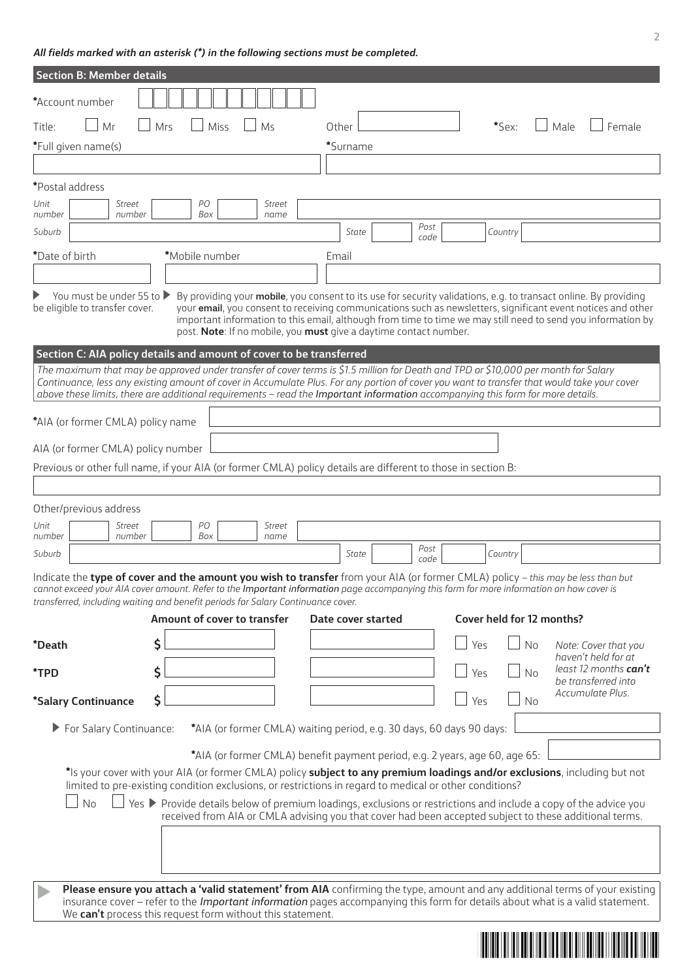# *All fields marked with an asterisk (\*) in the following sections must be completed.*

| <b>Section B: Member details</b>                                                                                                                                                                                                                                                                                                                                                                                     |     |                |                                                                             |                    |              |     |         |                           |                                                                                                                                                                                                                                                                                                                                                  |
|----------------------------------------------------------------------------------------------------------------------------------------------------------------------------------------------------------------------------------------------------------------------------------------------------------------------------------------------------------------------------------------------------------------------|-----|----------------|-----------------------------------------------------------------------------|--------------------|--------------|-----|---------|---------------------------|--------------------------------------------------------------------------------------------------------------------------------------------------------------------------------------------------------------------------------------------------------------------------------------------------------------------------------------------------|
| *Account number                                                                                                                                                                                                                                                                                                                                                                                                      |     |                |                                                                             |                    |              |     |         |                           |                                                                                                                                                                                                                                                                                                                                                  |
| Mr<br>Title:                                                                                                                                                                                                                                                                                                                                                                                                         | Mrs | Miss           | Ms                                                                          | Other              |              |     | *Sex:   | Male                      | Female                                                                                                                                                                                                                                                                                                                                           |
| *Full given name(s)                                                                                                                                                                                                                                                                                                                                                                                                  |     |                |                                                                             | *Surname           |              |     |         |                           |                                                                                                                                                                                                                                                                                                                                                  |
|                                                                                                                                                                                                                                                                                                                                                                                                                      |     |                |                                                                             |                    |              |     |         |                           |                                                                                                                                                                                                                                                                                                                                                  |
| *Postal address                                                                                                                                                                                                                                                                                                                                                                                                      |     |                |                                                                             |                    |              |     |         |                           |                                                                                                                                                                                                                                                                                                                                                  |
| Unit<br><b>Street</b><br>number<br>number                                                                                                                                                                                                                                                                                                                                                                            |     | PО<br>Box      | <b>Street</b><br>name                                                       |                    |              |     |         |                           |                                                                                                                                                                                                                                                                                                                                                  |
| Suburb                                                                                                                                                                                                                                                                                                                                                                                                               |     |                |                                                                             | State              | Post<br>code |     | Country |                           |                                                                                                                                                                                                                                                                                                                                                  |
| *Date of birth                                                                                                                                                                                                                                                                                                                                                                                                       |     | *Mobile number |                                                                             | Email              |              |     |         |                           |                                                                                                                                                                                                                                                                                                                                                  |
|                                                                                                                                                                                                                                                                                                                                                                                                                      |     |                |                                                                             |                    |              |     |         |                           |                                                                                                                                                                                                                                                                                                                                                  |
| You must be under 55 to ▶<br>be eligible to transfer cover.                                                                                                                                                                                                                                                                                                                                                          |     |                | post. Note: If no mobile, you must give a daytime contact number.           |                    |              |     |         |                           | By providing your mobile, you consent to its use for security validations, e.g. to transact online. By providing<br>your email, you consent to receiving communications such as newsletters, significant event notices and other<br>important information to this email, although from time to time we may still need to send you information by |
| Section C: AIA policy details and amount of cover to be transferred                                                                                                                                                                                                                                                                                                                                                  |     |                |                                                                             |                    |              |     |         |                           |                                                                                                                                                                                                                                                                                                                                                  |
| The maximum that may be approved under transfer of cover terms is \$1.5 million for Death and TPD or \$10,000 per month for Salary<br>Continuance, less any existing amount of cover in Accumulate Plus. For any portion of cover you want to transfer that would take your cover<br>above these limits, there are additional requirements - read the Important information accompanying this form for more details. |     |                |                                                                             |                    |              |     |         |                           |                                                                                                                                                                                                                                                                                                                                                  |
| *AIA (or former CMLA) policy name                                                                                                                                                                                                                                                                                                                                                                                    |     |                |                                                                             |                    |              |     |         |                           |                                                                                                                                                                                                                                                                                                                                                  |
| AIA (or former CMLA) policy number                                                                                                                                                                                                                                                                                                                                                                                   |     |                |                                                                             |                    |              |     |         |                           |                                                                                                                                                                                                                                                                                                                                                  |
| Previous or other full name, if your AIA (or former CMLA) policy details are different to those in section B:                                                                                                                                                                                                                                                                                                        |     |                |                                                                             |                    |              |     |         |                           |                                                                                                                                                                                                                                                                                                                                                  |
|                                                                                                                                                                                                                                                                                                                                                                                                                      |     |                |                                                                             |                    |              |     |         |                           |                                                                                                                                                                                                                                                                                                                                                  |
| Other/previous address                                                                                                                                                                                                                                                                                                                                                                                               |     |                |                                                                             |                    |              |     |         |                           |                                                                                                                                                                                                                                                                                                                                                  |
| Unit<br>Street                                                                                                                                                                                                                                                                                                                                                                                                       |     | PО             | Street                                                                      |                    |              |     |         |                           |                                                                                                                                                                                                                                                                                                                                                  |
| number<br>number<br>Suburb                                                                                                                                                                                                                                                                                                                                                                                           |     | Box            | name                                                                        | State              | Post         |     | Country |                           |                                                                                                                                                                                                                                                                                                                                                  |
|                                                                                                                                                                                                                                                                                                                                                                                                                      |     |                |                                                                             |                    | code         |     |         |                           |                                                                                                                                                                                                                                                                                                                                                  |
| Indicate the type of cover and the amount you wish to transfer from your AIA (or former CMLA) policy - this may be less than but<br>cannot exceed your AIA cover amount. Refer to the Important information page accompanying this form for more information on how cover is<br>transferred, including waiting and benefit periods for Salary Continuance cover.                                                     |     |                |                                                                             |                    |              |     |         |                           |                                                                                                                                                                                                                                                                                                                                                  |
|                                                                                                                                                                                                                                                                                                                                                                                                                      |     |                | Amount of cover to transfer                                                 | Date cover started |              |     |         | Cover held for 12 months? |                                                                                                                                                                                                                                                                                                                                                  |
| <i>*Death</i>                                                                                                                                                                                                                                                                                                                                                                                                        | \$  |                |                                                                             |                    |              | Yes |         | No                        | Note: Cover that you                                                                                                                                                                                                                                                                                                                             |
| *TPD                                                                                                                                                                                                                                                                                                                                                                                                                 | \$  |                |                                                                             |                    |              | Yes |         | No                        | haven't held for at<br>least 12 months can't                                                                                                                                                                                                                                                                                                     |
| *Salary Continuance                                                                                                                                                                                                                                                                                                                                                                                                  | \$  |                |                                                                             |                    |              | Yes |         | No                        | be transferred into<br>Accumulate Plus.                                                                                                                                                                                                                                                                                                          |
| For Salary Continuance:                                                                                                                                                                                                                                                                                                                                                                                              |     |                | *AIA (or former CMLA) waiting period, e.g. 30 days, 60 days 90 days:        |                    |              |     |         |                           |                                                                                                                                                                                                                                                                                                                                                  |
|                                                                                                                                                                                                                                                                                                                                                                                                                      |     |                |                                                                             |                    |              |     |         |                           |                                                                                                                                                                                                                                                                                                                                                  |
|                                                                                                                                                                                                                                                                                                                                                                                                                      |     |                | *AIA (or former CMLA) benefit payment period, e.g. 2 years, age 60, age 65: |                    |              |     |         |                           |                                                                                                                                                                                                                                                                                                                                                  |
| *Is your cover with your AIA (or former CMLA) policy subject to any premium loadings and/or exclusions, including but not<br>limited to pre-existing condition exclusions, or restrictions in regard to medical or other conditions?                                                                                                                                                                                 |     |                |                                                                             |                    |              |     |         |                           |                                                                                                                                                                                                                                                                                                                                                  |
| <b>No</b>                                                                                                                                                                                                                                                                                                                                                                                                            |     |                |                                                                             |                    |              |     |         |                           | Yes ▶ Provide details below of premium loadings, exclusions or restrictions and include a copy of the advice you                                                                                                                                                                                                                                 |
|                                                                                                                                                                                                                                                                                                                                                                                                                      |     |                |                                                                             |                    |              |     |         |                           | received from AIA or CMLA advising you that cover had been accepted subject to these additional terms.                                                                                                                                                                                                                                           |
|                                                                                                                                                                                                                                                                                                                                                                                                                      |     |                |                                                                             |                    |              |     |         |                           |                                                                                                                                                                                                                                                                                                                                                  |
| Please ensure you attach a 'valid statement' from AIA confirming the type, amount and any additional terms of your existing<br>insurance cover - refer to the <i>Important information</i> pages accompanying this form for details about what is a valid statement.<br>We can't process this request form without this statement.                                                                                   |     |                |                                                                             |                    |              |     |         |                           |                                                                                                                                                                                                                                                                                                                                                  |
|                                                                                                                                                                                                                                                                                                                                                                                                                      |     |                |                                                                             |                    |              |     |         |                           |                                                                                                                                                                                                                                                                                                                                                  |
|                                                                                                                                                                                                                                                                                                                                                                                                                      |     |                |                                                                             |                    |              |     |         |                           |                                                                                                                                                                                                                                                                                                                                                  |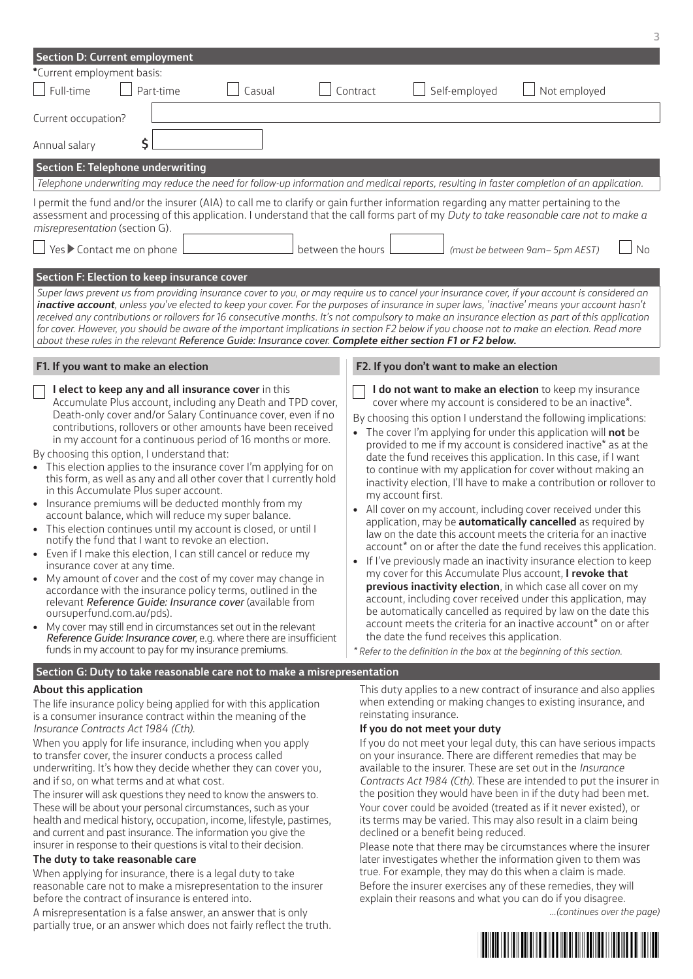| *Current employment basis:<br>$\Box$ Full-time<br>Self-employed<br>Not employed<br>Part-time<br>Casual<br>Contract<br>Current occupation?<br>\$<br>Annual salary<br><b>Section E: Telephone underwriting</b><br>Telephone underwriting may reduce the need for follow-up information and medical reports, resulting in faster completion of an application.<br>I permit the fund and/or the insurer (AIA) to call me to clarify or gain further information regarding any matter pertaining to the<br>assessment and processing of this application. I understand that the call forms part of my Duty to take reasonable care not to make a<br>misrepresentation (section G).<br>Yes ▶ Contact me on phone<br>between the hours<br>(must be between 9am- 5pm AEST)<br>Section F: Election to keep insurance cover<br>Super laws prevent us from providing insurance cover to you, or may require us to cancel your insurance cover, if your account is considered an                                                                                                                                                                                                                                                                                                                                                                                                                                                                                                                                                                                                                                                                                                                                                                                                                                                                                                                                                                                                                                                                                                                                                                                                                                                                                                                                                                                                                                                                                                                                                                                                                                                                                                                                      |    |
|-----------------------------------------------------------------------------------------------------------------------------------------------------------------------------------------------------------------------------------------------------------------------------------------------------------------------------------------------------------------------------------------------------------------------------------------------------------------------------------------------------------------------------------------------------------------------------------------------------------------------------------------------------------------------------------------------------------------------------------------------------------------------------------------------------------------------------------------------------------------------------------------------------------------------------------------------------------------------------------------------------------------------------------------------------------------------------------------------------------------------------------------------------------------------------------------------------------------------------------------------------------------------------------------------------------------------------------------------------------------------------------------------------------------------------------------------------------------------------------------------------------------------------------------------------------------------------------------------------------------------------------------------------------------------------------------------------------------------------------------------------------------------------------------------------------------------------------------------------------------------------------------------------------------------------------------------------------------------------------------------------------------------------------------------------------------------------------------------------------------------------------------------------------------------------------------------------------------------------------------------------------------------------------------------------------------------------------------------------------------------------------------------------------------------------------------------------------------------------------------------------------------------------------------------------------------------------------------------------------------------------------------------------------------------------------------------------------|----|
|                                                                                                                                                                                                                                                                                                                                                                                                                                                                                                                                                                                                                                                                                                                                                                                                                                                                                                                                                                                                                                                                                                                                                                                                                                                                                                                                                                                                                                                                                                                                                                                                                                                                                                                                                                                                                                                                                                                                                                                                                                                                                                                                                                                                                                                                                                                                                                                                                                                                                                                                                                                                                                                                                                           |    |
|                                                                                                                                                                                                                                                                                                                                                                                                                                                                                                                                                                                                                                                                                                                                                                                                                                                                                                                                                                                                                                                                                                                                                                                                                                                                                                                                                                                                                                                                                                                                                                                                                                                                                                                                                                                                                                                                                                                                                                                                                                                                                                                                                                                                                                                                                                                                                                                                                                                                                                                                                                                                                                                                                                           |    |
|                                                                                                                                                                                                                                                                                                                                                                                                                                                                                                                                                                                                                                                                                                                                                                                                                                                                                                                                                                                                                                                                                                                                                                                                                                                                                                                                                                                                                                                                                                                                                                                                                                                                                                                                                                                                                                                                                                                                                                                                                                                                                                                                                                                                                                                                                                                                                                                                                                                                                                                                                                                                                                                                                                           |    |
|                                                                                                                                                                                                                                                                                                                                                                                                                                                                                                                                                                                                                                                                                                                                                                                                                                                                                                                                                                                                                                                                                                                                                                                                                                                                                                                                                                                                                                                                                                                                                                                                                                                                                                                                                                                                                                                                                                                                                                                                                                                                                                                                                                                                                                                                                                                                                                                                                                                                                                                                                                                                                                                                                                           |    |
|                                                                                                                                                                                                                                                                                                                                                                                                                                                                                                                                                                                                                                                                                                                                                                                                                                                                                                                                                                                                                                                                                                                                                                                                                                                                                                                                                                                                                                                                                                                                                                                                                                                                                                                                                                                                                                                                                                                                                                                                                                                                                                                                                                                                                                                                                                                                                                                                                                                                                                                                                                                                                                                                                                           |    |
|                                                                                                                                                                                                                                                                                                                                                                                                                                                                                                                                                                                                                                                                                                                                                                                                                                                                                                                                                                                                                                                                                                                                                                                                                                                                                                                                                                                                                                                                                                                                                                                                                                                                                                                                                                                                                                                                                                                                                                                                                                                                                                                                                                                                                                                                                                                                                                                                                                                                                                                                                                                                                                                                                                           |    |
|                                                                                                                                                                                                                                                                                                                                                                                                                                                                                                                                                                                                                                                                                                                                                                                                                                                                                                                                                                                                                                                                                                                                                                                                                                                                                                                                                                                                                                                                                                                                                                                                                                                                                                                                                                                                                                                                                                                                                                                                                                                                                                                                                                                                                                                                                                                                                                                                                                                                                                                                                                                                                                                                                                           | No |
| inactive account, unless you've elected to keep your cover. For the purposes of insurance in super laws, 'inactive' means your account hasn't<br>received any contributions or rollovers for 16 consecutive months. It's not compulsory to make an insurance election as part of this application<br>for cover. However, you should be aware of the important implications in section F2 below if you choose not to make an election. Read more<br>about these rules in the relevant Reference Guide: Insurance cover. Complete either section F1 or F2 below.                                                                                                                                                                                                                                                                                                                                                                                                                                                                                                                                                                                                                                                                                                                                                                                                                                                                                                                                                                                                                                                                                                                                                                                                                                                                                                                                                                                                                                                                                                                                                                                                                                                                                                                                                                                                                                                                                                                                                                                                                                                                                                                                            |    |
| F1. If you want to make an election<br>F2. If you don't want to make an election                                                                                                                                                                                                                                                                                                                                                                                                                                                                                                                                                                                                                                                                                                                                                                                                                                                                                                                                                                                                                                                                                                                                                                                                                                                                                                                                                                                                                                                                                                                                                                                                                                                                                                                                                                                                                                                                                                                                                                                                                                                                                                                                                                                                                                                                                                                                                                                                                                                                                                                                                                                                                          |    |
| I elect to keep any and all insurance cover in this<br>I do not want to make an election to keep my insurance<br>Accumulate Plus account, including any Death and TPD cover,<br>cover where my account is considered to be an inactive*.<br>Death-only cover and/or Salary Continuance cover, even if no<br>By choosing this option I understand the following implications:<br>contributions, rollovers or other amounts have been received<br>• The cover I'm applying for under this application will not be<br>in my account for a continuous period of 16 months or more.<br>provided to me if my account is considered inactive* as at the<br>By choosing this option, I understand that:<br>date the fund receives this application. In this case, if I want<br>• This election applies to the insurance cover I'm applying for on<br>to continue with my application for cover without making an<br>this form, as well as any and all other cover that I currently hold<br>inactivity election, I'll have to make a contribution or rollover to<br>in this Accumulate Plus super account.<br>my account first.<br>• Insurance premiums will be deducted monthly from my<br>• All cover on my account, including cover received under this<br>account balance, which will reduce my super balance.<br>application, may be <b>automatically cancelled</b> as required by<br>This election continues until my account is closed, or until I<br>law on the date this account meets the criteria for an inactive<br>notify the fund that I want to revoke an election.<br>account* on or after the date the fund receives this application.<br>• Even if I make this election, I can still cancel or reduce my<br>If I've previously made an inactivity insurance election to keep<br>insurance cover at any time.<br>my cover for this Accumulate Plus account, I revoke that<br>My amount of cover and the cost of my cover may change in<br>previous inactivity election, in which case all cover on my<br>accordance with the insurance policy terms, outlined in the<br>account, including cover received under this application, may<br>relevant Reference Guide: Insurance cover (available from<br>be automatically cancelled as required by law on the date this<br>oursuperfund.com.au/pds).<br>account meets the criteria for an inactive account* on or after<br>My cover may still end in circumstances set out in the relevant<br>the date the fund receives this application.<br>Reference Guide: Insurance cover, e.g. where there are insufficient<br>funds in my account to pay for my insurance premiums.<br>* Refer to the definition in the box at the beginning of this section. |    |
| Section G: Duty to take reasonable care not to make a misrepresentation                                                                                                                                                                                                                                                                                                                                                                                                                                                                                                                                                                                                                                                                                                                                                                                                                                                                                                                                                                                                                                                                                                                                                                                                                                                                                                                                                                                                                                                                                                                                                                                                                                                                                                                                                                                                                                                                                                                                                                                                                                                                                                                                                                                                                                                                                                                                                                                                                                                                                                                                                                                                                                   |    |
| This duty applies to a new contract of insurance and also applies<br>About this application<br>when extending or making changes to existing insurance, and<br>The life insurance policy being applied for with this application<br>reinstating insurance.<br>is a consumer insurance contract within the meaning of the<br>Insurance Contracts Act 1984 (Cth).<br>If you do not meet your duty<br>When you apply for life insurance, including when you apply<br>If you do not meet your legal duty, this can have serious impacts<br>to transfer cover, the insurer conducts a process called<br>on your insurance. There are different remedies that may be<br>underwriting. It's how they decide whether they can cover you,<br>available to the insurer. These are set out in the <i>Insurance</i><br>and if so, on what terms and at what cost.<br>Contracts Act 1984 (Cth). These are intended to put the insurer in<br>the position they would have been in if the duty had been met.<br>The insurer will ask questions they need to know the answers to.<br>Your cover could be avoided (treated as if it never existed), or<br>These will be about your personal circumstances, such as your<br>health and medical history, occupation, income, lifestyle, pastimes,<br>its terms may be varied. This may also result in a claim being<br>and current and past insurance. The information you give the<br>declined or a benefit being reduced.<br>insurer in response to their questions is vital to their decision.<br>Please note that there may be circumstances where the insurer                                                                                                                                                                                                                                                                                                                                                                                                                                                                                                                                                                                                                                                                                                                                                                                                                                                                                                                                                                                                                                                                                                            |    |

**The duty to take reasonable care**

When applying for insurance, there is a legal duty to take reasonable care not to make a misrepresentation to the insurer before the contract of insurance is entered into.

A misrepresentation is a false answer, an answer that is only partially true, or an answer which does not fairly reflect the truth.

le note that there may be circumstances where the insurer later investigates whether the information given to them was true. For example, they may do this when a claim is made. Before the insurer exercises any of these remedies, they will explain their reasons and what you can do if you disagree.

*...(continues over the page)*

**3**